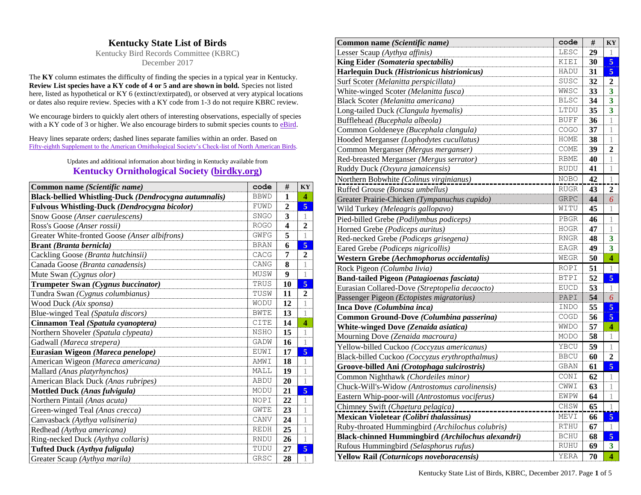## **Kentucky State List of Birds**

Kentucky Bird Records Committee (KBRC) December 2017

The **KY** column estimates the difficulty of finding the species in a typical year in Kentucky. **Review List species have a KY code of 4 or 5 and are shown in bold.** Species not listed here, listed as hypothetical or KY 6 (extinct/extirpated), or observed at very atypical locations or dates also require review. Species with a KY code from 1-3 do not require KBRC review.

We encourage birders to quickly alert others of interesting observations, especially of species with a KY code of 3 or higher. We also encourage birders to submit species counts to [eBird.](http://www.ebird.org/)

Heavy lines separate orders; dashed lines separate families within an order. Based on [Fifty-eighth Supplement to the American Ornithological Society's Check-list of North American Birds.](http://checklist.aou.org/)

## Updates and additional information about birding in Kentucky available from **[Kentucky Ornithological Society \(birdky.org\)](http://www.birdky.org/)**

| Common name (Scientific name)                         | code        | #                | <b>KY</b>      |
|-------------------------------------------------------|-------------|------------------|----------------|
| Black-bellied Whistling-Duck (Dendrocygna autumnalis) | <b>BBWD</b> | 1                | 4              |
| Fulvous Whistling-Duck (Dendrocygna bicolor)          | FUWD        | $\overline{2}$   | $\overline{5}$ |
| Snow Goose (Anser caerulescens)                       | SNGO        | 3                | 1              |
| Ross's Goose (Anser rossii)                           | <b>ROGO</b> | $\boldsymbol{4}$ | $\mathbf{2}$   |
| Greater White-fronted Goose (Anser albifrons)         | GWFG        | 5                | 1              |
| Brant (Branta bernicla)                               | <b>BRAN</b> | 6                | $\overline{5}$ |
| Cackling Goose (Branta hutchinsii)                    | CACG        | 7                | $\mathbf{2}$   |
| Canada Goose (Branta canadensis)                      | CANG        | 8                | 1              |
| Mute Swan (Cygnus olor)                               | MUSW        | 9                | 1              |
| Trumpeter Swan (Cygnus buccinator)                    | TRUS        | 10               | $\overline{5}$ |
| Tundra Swan (Cygnus columbianus)                      | TUSW        | 11               | $\mathbf{2}$   |
| Wood Duck (Aix sponsa)                                | WODU        | 12               | 1              |
| Blue-winged Teal (Spatula discors)                    | <b>BWTE</b> | 13               | 1              |
| Cinnamon Teal (Spatula cyanoptera)                    | <b>CITE</b> | 14               | 4              |
| Northern Shoveler (Spatula clypeata)                  | <b>NSHO</b> | 15               | $\mathbf{1}$   |
| Gadwall (Mareca strepera)                             | GADW        | 16               | 1              |
| Eurasian Wigeon (Mareca penelope)                     | EUWI        | 17               | $\overline{5}$ |
| American Wigeon (Mareca americana)                    | <b>AMWI</b> | 18               | 1              |
| Mallard (Anas platyrhynchos)                          | MALL        | 19               | 1              |
| American Black Duck (Anas rubripes)                   | <b>ABDU</b> | 20               | 1              |
| <b>Mottled Duck (Anas fulvigula)</b>                  | MODU        | 21               | $\overline{5}$ |
| Northern Pintail (Anas acuta)                         | NOPI        | 22               | 1              |
| Green-winged Teal (Anas crecca)                       | <b>GWTE</b> | 23               | 1              |
| Canvasback (Aythya valisineria)                       | CANV        | 24               | 1              |
| Redhead (Aythya americana)                            | <b>REDH</b> | 25               | 1              |
| Ring-necked Duck (Aythya collaris)                    | <b>RNDU</b> | 26               | 1              |
| Tufted Duck (Aythya fuligula)                         | TUDU        | 27               | $\overline{5}$ |
| Greater Scaup (Aythya marila)                         | GRSC        | 28               | 1              |

| Common name (Scientific name)                     | code        | #  | KY                      |
|---------------------------------------------------|-------------|----|-------------------------|
| Lesser Scaup (Aythya affinis)                     | LESC        | 29 |                         |
| King Eider (Somateria spectabilis)                | KIEI        | 30 | 5                       |
| Harlequin Duck (Histrionicus histrionicus)        | HADU        | 31 | 5                       |
| Surf Scoter (Melanitta perspicillata)             | SUSC        | 32 | $\overline{2}$          |
| White-winged Scoter (Melanitta fusca)             | WWSC        | 33 | 3                       |
| Black Scoter (Melanitta americana)                | <b>BLSC</b> | 34 | 3                       |
| Long-tailed Duck (Clangula hyemalis)              | LTDU        | 35 | 3                       |
| Bufflehead (Bucephala albeola)                    | <b>BUFF</b> | 36 | 1                       |
| Common Goldeneye (Bucephala clangula)             | COGO        | 37 | 1                       |
| Hooded Merganser (Lophodytes cucullatus)          | HOME        | 38 | 1                       |
| Common Merganser (Mergus merganser)               | COME        | 39 | 2                       |
| Red-breasted Merganser (Mergus serrator)          | <b>RBME</b> | 40 | 1                       |
| Ruddy Duck (Oxyura jamaicensis)                   | <b>RUDU</b> | 41 |                         |
| Northern Bobwhite (Colinus virginianus)           | <b>NOBO</b> | 42 | 1                       |
| Ruffed Grouse (Bonasa umbellus)                   | <b>RUGR</b> | 43 | $\boldsymbol{2}$        |
| Greater Prairie-Chicken (Tympanuchus cupido)      | GRPC        | 44 | 6                       |
| Wild Turkey (Meleagris gallopavo)                 | WITU        | 45 | 1                       |
| Pied-billed Grebe (Podilymbus podiceps)           | PBGR        | 46 | 1                       |
| Horned Grebe (Podiceps auritus)                   | <b>HOGR</b> | 47 | 1                       |
| Red-necked Grebe (Podiceps grisegena)             | <b>RNGR</b> | 48 | $\overline{\mathbf{3}}$ |
| Eared Grebe (Podiceps nigricollis)                | EAGR        | 49 | $\overline{\mathbf{3}}$ |
| Western Grebe (Aechmophorus occidentalis)         | WEGR        | 50 | $\overline{\mathbf{4}}$ |
| Rock Pigeon (Columba livia)                       | ROPI        | 51 | 1                       |
| Band-tailed Pigeon (Patagioenas fasciata)         | <b>BTPI</b> | 52 | $\overline{5}$          |
| Eurasian Collared-Dove (Streptopelia decaocto)    | <b>EUCD</b> | 53 | 1                       |
| Passenger Pigeon (Ectopistes migratorius)         | PAPI        | 54 | 6                       |
| Inca Dove (Columbina inca)                        | INDO        | 55 | $\overline{5}$          |
| Common Ground-Dove (Columbina passerina)          | COGD        | 56 | $\overline{5}$          |
| White-winged Dove (Zenaida asiatica)              | <b>WMDO</b> | 57 | $\overline{\mathbf{4}}$ |
| Mourning Dove (Zenaida macroura)                  | MODO        | 58 | 1                       |
| Yellow-billed Cuckoo (Coccyzus americanus)        | YBCU        | 59 | 1                       |
| Black-billed Cuckoo (Coccyzus erythropthalmus)    | <b>BBCU</b> | 60 | $\boldsymbol{2}$        |
| Groove-billed Ani (Crotophaga sulcirostris)       | GBAN        | 61 | $\overline{5}$          |
| Common Nighthawk (Chordeiles minor)               | CONI        | 62 |                         |
| Chuck-Will's-Widow (Antrostomus carolinensis)     | CWWI        | 63 | 1                       |
| Eastern Whip-poor-will (Antrostomus vociferus)    | EWPW        | 64 |                         |
| Chimney Swift (Chaetura pelagica)                 | CHSW        | 65 | 1                       |
| <b>Mexican Violetear (Colibri thalassinus)</b>    | MEVI        | 66 | 5 <sub>5</sub>          |
| Ruby-throated Hummingbird (Archilochus colubris)  | RTHU        | 67 | 1                       |
| Black-chinned Hummingbird (Archilochus alexandri) | <b>BCHU</b> | 68 | 5                       |
| Rufous Hummingbird (Selasphorus rufus)            | RUHU        | 69 | 3                       |
| Yellow Rail (Coturnicops noveboracensis)          | YERA        | 70 | $\overline{\mathbf{4}}$ |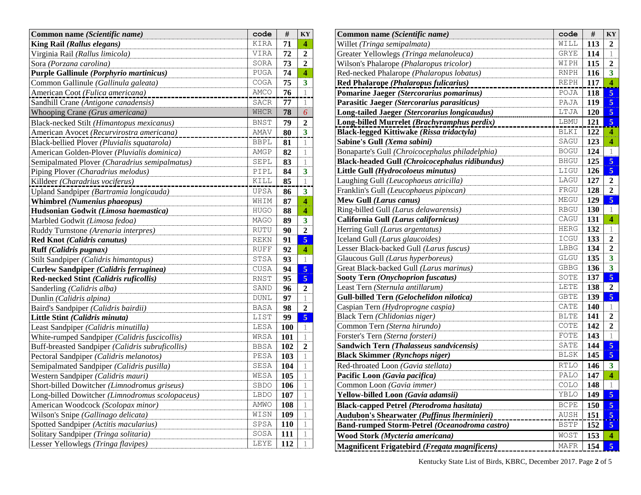| Common name (Scientific name)                    | code        | #   | KY                      |
|--------------------------------------------------|-------------|-----|-------------------------|
| King Rail (Rallus elegans)                       | KIRA        | 71  | 4                       |
| Virginia Rail (Rallus limicola)                  | VIRA        | 72  | 2                       |
| Sora (Porzana carolina)                          | SORA        | 73  | $\overline{2}$          |
| Purple Gallinule (Porphyrio martinicus)          | <b>PUGA</b> | 74  | 4                       |
| Common Gallinule (Gallinula galeata)             | COGA        | 75  | 3                       |
| American Coot (Fulica americana)                 | AMCO        | 76  | 1                       |
| Sandhill Crane (Antigone canadensis)             | SACR        | 77  | 1                       |
| Whooping Crane (Grus americana)                  | <b>WHCR</b> | 78  | 6                       |
| Black-necked Stilt (Himantopus mexicanus)        | <b>BNST</b> | 79  | $\overline{2}$          |
| American Avocet (Recurvirostra americana)        | AMAV        | 80  | $\overline{\mathbf{3}}$ |
| Black-bellied Plover (Pluvialis squatarola)      | <b>BBPL</b> | 81  | 1                       |
| American Golden-Plover (Pluvialis dominica)      | AMGP        | 82  | 1                       |
| Semipalmated Plover (Charadrius semipalmatus)    | SEPL        | 83  | 1                       |
| Piping Plover (Charadrius melodus)               | PIPL        | 84  | 3                       |
| Killdeer (Charadrius vociferus)                  | KILL        | 85  | 1                       |
| Upland Sandpiper (Bartramia longicauda)          | UPSA        | 86  | $\overline{\mathbf{3}}$ |
| <b>Whimbrel (Numenius phaeopus)</b>              | WHIM        | 87  | 4                       |
| Hudsonian Godwit (Limosa haemastica)             | <b>HUGO</b> | 88  | 4                       |
| Marbled Godwit (Limosa fedoa)                    | <b>MAGO</b> | 89  | $\overline{\mathbf{3}}$ |
| Ruddy Turnstone (Arenaria interpres)             | RUTU        | 90  | $\overline{2}$          |
| Red Knot (Calidris canutus)                      | <b>REKN</b> | 91  | $\overline{5}$          |
| Ruff (Calidris pugnax)                           | <b>RUFF</b> | 92  | 4                       |
| Stilt Sandpiper (Calidris himantopus)            | STSA        | 93  | 1                       |
| Curlew Sandpiper (Calidris ferruginea)           | CUSA        | 94  | $\overline{5}$          |
| Red-necked Stint (Calidris ruficollis)           | RNST        | 95  | 5                       |
| Sanderling (Calidris alba)                       | SAND        | 96  | $\mathbf{2}$            |
| Dunlin (Calidris alpina)                         | <b>DUNL</b> | 97  | 1                       |
| Baird's Sandpiper (Calidris bairdii)             | <b>BASA</b> | 98  | $\overline{2}$          |
| Little Stint (Calidris minuta)                   | LIST        | 99  | 5                       |
| Least Sandpiper (Calidris minutilla)             | LESA        | 100 | 1                       |
| White-rumped Sandpiper (Calidris fuscicollis)    | WRSA        | 101 | 1                       |
| Buff-breasted Sandpiper (Calidris subruficollis) | <b>BBSA</b> | 102 | $\overline{2}$          |
| Pectoral Sandpiper (Calidris melanotos)          | PESA        | 103 | 1                       |
| Semipalmated Sandpiper (Calidris pusilla)        | SESA        | 104 | 1                       |
| Western Sandpiper (Calidris mauri)               | WESA        | 105 | 1                       |
| Short-billed Dowitcher (Limnodromus griseus)     | SBDO        | 106 | 1                       |
| Long-billed Dowitcher (Limnodromus scolopaceus)  | LBDO        | 107 | 1                       |
| American Woodcock (Scolopax minor)               | AMWO        | 108 | 1                       |
| Wilson's Snipe (Gallinago delicata)              | WISN        | 109 | 1                       |
| Spotted Sandpiper (Actitis macularius)           | SPSA        | 110 | 1                       |
| Solitary Sandpiper (Tringa solitaria)            | SOSA        | 111 | 1                       |
| Lesser Yellowlegs (Tringa flavipes)              | LEYE        | 112 | 1                       |

| Common name (Scientific name)                         | code                                | $\#$ | KY                        |
|-------------------------------------------------------|-------------------------------------|------|---------------------------|
| Willet (Tringa semipalmata)                           | WILL                                | 113  | $\mathbf{2}$              |
| Greater Yellowlegs (Tringa melanoleuca)               | <b>GRYE</b>                         | 114  | 1                         |
| Wilson's Phalarope (Phalaropus tricolor)              | WIPH                                | 115  | $\boldsymbol{2}$          |
| Red-necked Phalarope (Phalaropus lobatus)             | <b>RNPH</b>                         | 116  | 3                         |
| Red Phalarope (Phalaropus fulicarius)                 | $\ensuremath{\mathsf{REPH}}\xspace$ | 117  | $\overline{\mathbf{4}}$   |
| <b>Pomarine Jaeger (Stercorarius pomarinus)</b>       | POJA                                | 118  | $\overline{\mathbf{5}}$   |
| Parasitic Jaeger (Stercorarius parasiticus)           | PAJA                                | 119  | 5                         |
| Long-tailed Jaeger (Stercorarius longicaudus)         | LTJA                                | 120  | $\overline{\mathbf{5}}$   |
| Long-billed Murrelet (Brachyramphus perdix)           | LBMU                                | 121  | 5                         |
| <b>Black-legged Kittiwake (Rissa tridactyla)</b>      | <b>BLKI</b>                         | 122  | $\overline{\mathbf{4}}$   |
| Sabine's Gull (Xema sabini)                           | SAGU                                | 123  | 4                         |
| Bonaparte's Gull (Chroicocephalus philadelphia)       | <b>BOGU</b>                         | 124  | $\mathbf{1}$              |
| <b>Black-headed Gull (Chroicocephalus ridibundus)</b> | <b>BHGU</b>                         | 125  | $\overline{\mathbf{5}}$   |
| Little Gull (Hydrocoloeus minutus)                    | LIGU                                | 126  | $\overline{5}$            |
| Laughing Gull (Leucophaeus atricilla)                 | LAGU                                | 127  | $\boldsymbol{2}$          |
| Franklin's Gull (Leucophaeus pipixcan)                | FRGU                                | 128  | $\overline{2}$            |
| Mew Gull (Larus canus)                                | MEGU                                | 129  | $\overline{\mathbf{5}}$   |
| Ring-billed Gull (Larus delawarensis)                 | <b>RBGU</b>                         | 130  | $\mathbf{1}$              |
| California Gull (Larus californicus)                  | CAGU                                | 131  | $\overline{\bf{4}}$       |
| Herring Gull (Larus argentatus)                       | HERG                                | 132  | 1                         |
| Iceland Gull (Larus glaucoides)                       | ICGU                                | 133  | $\overline{\mathbf{c}}$   |
| Lesser Black-backed Gull (Larus fuscus)               | ${\tt LBBG}$                        | 134  | $\mathbf 2$               |
| Glaucous Gull (Larus hyperboreus)                     | GLGU                                | 135  | $\overline{\mathbf{3}}$   |
| Great Black-backed Gull (Larus marinus)               | GBBG                                | 136  | $\overline{\overline{3}}$ |
| Sooty Tern (Onychoprion fuscatus)                     | SOTE                                | 137  | $\overline{\mathbf{5}}$   |
| Least Tern (Sternula antillarum)                      | LETE                                | 138  | $\overline{2}$            |
| Gull-billed Tern (Gelochelidon nilotica)              | <b>GBTE</b>                         | 139  | $\overline{\mathbf{5}}$   |
| Caspian Tern (Hydroprogne caspia)                     | CATE                                | 140  | $\,1$                     |
| Black Tern (Chlidonias niger)                         | <b>BLTE</b>                         | 141  | $\overline{2}$            |
| Common Tern (Sterna hirundo)                          | COTE                                | 142  | $\mathbf 2$               |
| Forster's Tern (Sterna forsteri)                      | FOTE                                | 143  | $\mathbf{1}$              |
| Sandwich Tern (Thalasseus sandvicensis)               | SATE                                | 144  | 5                         |
| <b>Black Skimmer (Rynchops niger)</b>                 | <b>BLSK</b>                         | 145  | $\overline{5}$            |
| Red-throated Loon (Gavia stellata)                    | <b>RTLO</b>                         | 146  | $\overline{\mathbf{3}}$   |
| Pacific Loon (Gavia pacifica)                         | PALO                                | 147  | $\boldsymbol{4}$          |
| Common Loon (Gavia immer)                             | COLO                                | 148  | $\mathbf 1$               |
| Yellow-billed Loon (Gavia adamsii)                    | XBLO                                | 149  | $\overline{\mathbf{5}}$   |
| <b>Black-capped Petrel (Pterodroma hasitata)</b>      | <b>BCPE</b>                         | 150  | 5                         |
| Audubon's Shearwater (Puffinus Iherminieri)           | AUSH                                | 151  | $\overline{\mathbf{5}}$   |
| Band-rumped Storm-Petrel (Oceanodroma castro)         | <b>BSTP</b>                         | 152  | 5                         |
| Wood Stork (Mycteria americana)                       | WOST                                | 153  | $\overline{\mathbf{4}}$   |
| <b>Magnificent Frigatebird (Fregata magnificens)</b>  | MAFR                                | 154  | $\overline{\mathbf{5}}$   |

Kentucky State List of Birds, KBRC, December 2017. Page **2** of 5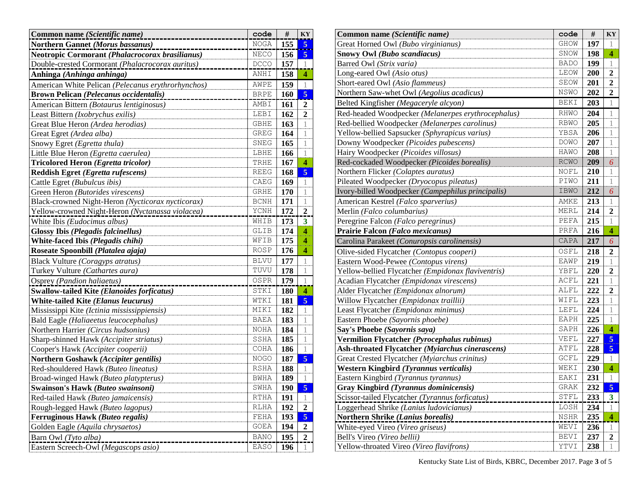| Common name (Scientific name)                      | code        | #          | KY                      |
|----------------------------------------------------|-------------|------------|-------------------------|
| Northern Gannet (Morus bassanus)                   | $\rm NOGA$  | 155        | $\overline{5}$          |
| Neotropic Cormorant (Phalacrocorax brasilianus)    | NECO        | 156        | $\overline{5}$          |
| Double-crested Cormorant (Phalacrocorax auritus)   | DCCO        | 157        | 1                       |
| Anhinga (Anhinga anhinga)                          | ANHI        | 158        | 4                       |
| American White Pelican (Pelecanus erythrorhynchos) | AWPE        | 159        | $\mathbf{1}$            |
| <b>Brown Pelican (Pelecanus occidentalis)</b>      | <b>BRPE</b> | <b>160</b> | 5                       |
| American Bittern (Botaurus lentiginosus)           | <b>AMBI</b> | 161        | $\overline{2}$          |
| Least Bittern (Ixobrychus exilis)                  | LEBI        | 162        | $\mathbf{2}$            |
| Great Blue Heron (Ardea herodias)                  | <b>GBHE</b> | 163        | 1                       |
| Great Egret (Ardea alba)                           | <b>GREG</b> | 164        | 1                       |
| Snowy Egret (Egretta thula)                        | SNEG        | 165        | 1                       |
| Little Blue Heron (Egretta caerulea)               | LBHE        | 166        | 1                       |
| Tricolored Heron (Egretta tricolor)                | TRHE        | 167        | $\overline{\bf{4}}$     |
| Reddish Egret (Egretta rufescens)                  | <b>REEG</b> | 168        | 5                       |
| Cattle Egret (Bubulcus ibis)                       | CAEG        | 169        | 1                       |
| Green Heron (Butorides virescens)                  | <b>GRHE</b> | 170        | 1                       |
| Black-crowned Night-Heron (Nycticorax nycticorax)  | <b>BCNH</b> | 171        | 1                       |
| Yellow-crowned Night-Heron (Nyctanassa violacea)   | YCNH        | 172        | $\boldsymbol{2}$        |
| White Ibis (Eudocimus albus)                       | WHIB        | 173        | $\overline{\mathbf{3}}$ |
| <b>Glossy Ibis (Plegadis falcinellus)</b>          | <b>GLIB</b> | 174        | 4                       |
| White-faced Ibis (Plegadis chihi)                  | WFIB        | 175        | 4                       |
| Roseate Spoonbill (Platalea ajaja)                 | ROSP        | 176        | 4                       |
| Black Vulture (Coragyps atratus)                   | <b>BLVU</b> | 177        | 1                       |
| Turkey Vulture (Cathartes aura)                    | TUVU        | 178        | 1                       |
| Osprey (Pandion haliaetus)                         | OSPR        | 179        | $\mathbf 1$             |
| <b>Swallow-tailed Kite (Elanoides forficatus)</b>  | STKI        | 180        | $\overline{\mathbf{4}}$ |
| White-tailed Kite (Elanus leucurus)                | WTKI        | 181        | $\overline{5}$          |
| Mississippi Kite (Ictinia mississippiensis)        | MIKI        | 182        | 1                       |
| Bald Eagle (Haliaeetus leucocephalus)              | BAEA        | 183        | 1                       |
| Northern Harrier (Circus hudsonius)                | <b>NOHA</b> | 184        | 1                       |
| Sharp-shinned Hawk (Accipiter striatus)            | SSHA        | 185        | 1                       |
| Cooper's Hawk (Accipiter cooperii)                 | COHA        | 186        | 1                       |
| Northern Goshawk (Accipiter gentilis)              | <b>NOGO</b> | 187        | 5                       |
| Red-shouldered Hawk (Buteo lineatus)               | RSHA        | 188        | 1                       |
| Broad-winged Hawk (Buteo platypterus)              | <b>BWHA</b> | 189        | $\mathbf 1$             |
| Swainson's Hawk (Buteo swainsoni)                  | SWHA        | 190        | 5                       |
| Red-tailed Hawk (Buteo jamaicensis)                | <b>RTHA</b> | 191        | 1                       |
| Rough-legged Hawk (Buteo lagopus)                  | <b>RLHA</b> | 192        | $\overline{2}$          |
| Ferruginous Hawk (Buteo regalis)                   | FEHA        | 193        | $\overline{\mathbf{5}}$ |
| Golden Eagle (Aquila chrysaetos)                   | <b>GOEA</b> | 194        | $\overline{2}$          |
| Barn Owl (Tyto alba)                               | <b>BANO</b> | 195        | $\overline{\mathbf{c}}$ |
| Eastern Screech-Owl (Megascops asio)               | <b>EASO</b> | 196        | 1                       |

| Common name (Scientific name)                      | code        | #   | KY                      |
|----------------------------------------------------|-------------|-----|-------------------------|
| Great Horned Owl (Bubo virginianus)                | <b>GHOW</b> | 197 | 1                       |
| Snowy Owl (Bubo scandiacus)                        | SNOW        | 198 | 4                       |
| Barred Owl (Strix varia)                           | <b>BADO</b> | 199 | 1                       |
| Long-eared Owl (Asio otus)                         | LEOW        | 200 | $\overline{\mathbf{c}}$ |
| Short-eared Owl (Asio flammeus)                    | SEOW        | 201 | 2                       |
| Northern Saw-whet Owl (Aegolius acadicus)          | NSWO        | 202 | $\mathbf{2}$            |
| Belted Kingfisher (Megaceryle alcyon)              | <b>BEKI</b> | 203 | 1                       |
| Red-headed Woodpecker (Melanerpes erythrocephalus) | RHWO        | 204 | 1                       |
| Red-bellied Woodpecker (Melanerpes carolinus)      | <b>RBWO</b> | 205 | 1                       |
| Yellow-bellied Sapsucker (Sphyrapicus varius)      | YBSA        | 206 | 1                       |
| Downy Woodpecker (Picoides pubescens)              | DOWO        | 207 | $\mathbf 1$             |
| Hairy Woodpecker (Picoides villosus)               | HAWO        | 208 | 1                       |
| Red-cockaded Woodpecker (Picoides borealis)        | <b>RCWO</b> | 209 | 6                       |
| Northern Flicker (Colaptes auratus)                | NOFL        | 210 | 1                       |
| Pileated Woodpecker (Dryocopus pileatus)           | PIWO        | 211 | 1                       |
| Ivory-billed Woodpecker (Campephilus principalis)  | IBWO        | 212 | 6                       |
| American Kestrel (Falco sparverius)                | AMKE        | 213 | 1                       |
| Merlin (Falco columbarius)                         | MERL        | 214 | $\overline{2}$          |
| Peregrine Falcon (Falco peregrinus)                | PEFA        | 215 | 1                       |
| Prairie Falcon (Falco mexicanus)                   | PRFA        | 216 | 4                       |
| Carolina Parakeet (Conuropsis carolinensis)        | CAPA        | 217 | 6                       |
| Olive-sided Flycatcher (Contopus cooperi)          | OSFL        | 218 | $\overline{2}$          |
| Eastern Wood-Pewee (Contopus virens)               | <b>EAWP</b> | 219 | 1                       |
| Yellow-bellied Flycatcher (Empidonax flaviventris) | YBFL        | 220 | $\overline{2}$          |
| Acadian Flycatcher (Empidonax virescens)           | ACFL        | 221 | 1                       |
| Alder Flycatcher (Empidonax alnorum)               | ALFL        | 222 | $\mathbf{2}$            |
| Willow Flycatcher (Empidonax traillii)             | WIFL        | 223 | 1                       |
| Least Flycatcher (Empidonax minimus)               | LEFL        | 224 | 1                       |
| Eastern Phoebe (Sayornis phoebe)                   | EAPH        | 225 | 1                       |
| Say's Phoebe (Sayornis saya)                       | SAPH        | 226 | $\overline{\mathbf{4}}$ |
| Vermilion Flycatcher (Pyrocephalus rubinus)        | VEFL        | 227 | $\overline{5}$          |
| Ash-throated Flycatcher (Myiarchus cinerascens)    | ATFL        | 228 | 5                       |
| Great Crested Flycatcher (Myiarchus crinitus)      | GCFL        | 229 | 1                       |
| Western Kingbird (Tyrannus verticalis)             | WEKI        | 230 | $\overline{\mathbf{4}}$ |
| Eastern Kingbird (Tyrannus tyrannus)               | EAKI        | 231 | $\mathbf{1}$            |
| Gray Kingbird (Tyrannus dominicensis)              | <b>GRAK</b> | 232 | 5                       |
| Scissor-tailed Flycatcher (Tyrannus forficatus)    | STFL        | 233 | $\overline{\mathbf{3}}$ |
| Loggerhead Shrike (Lanius ludovicianus)            | LOSH        | 234 | $\mathbf{1}$            |
| Northern Shrike (Lanius borealis)                  | <b>NSHR</b> | 235 | $\overline{4}$          |
| White-eyed Vireo (Vireo griseus)                   | WEVI        | 236 | 1                       |
| Bell's Vireo (Vireo bellii)                        | <b>BEVI</b> | 237 | $\overline{2}$          |
| Yellow-throated Vireo (Vireo flavifrons)           | YTVI        | 238 | 1                       |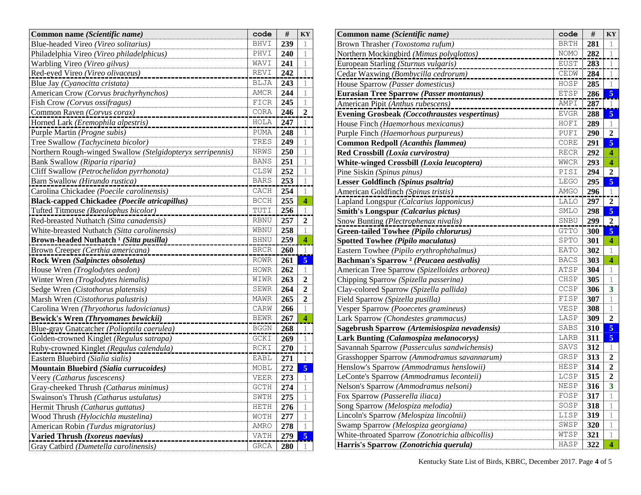| Common name (Scientific name)                              | code          | #   | KY               |
|------------------------------------------------------------|---------------|-----|------------------|
| Blue-headed Vireo (Vireo solitarius)                       | <b>BHVI</b>   | 239 | 1                |
| Philadelphia Vireo (Vireo philadelphicus)                  | PHVI          | 240 | 1                |
| Warbling Vireo (Vireo gilvus)                              | WAVI          | 241 | 1                |
| Red-eyed Vireo (Vireo olivaceus)                           | REVI          | 242 | 1                |
| Blue Jay (Cyanocitta cristata)                             | <b>BLJA</b>   | 243 | 1                |
| American Crow (Corvus brachyrhynchos)                      | AMCR          | 244 | 1                |
| Fish Crow (Corvus ossifragus)                              | FICR          | 245 | 1                |
| Common Raven (Corvus corax)                                | CORA          | 246 | $\overline{2}$   |
| Horned Lark (Eremophila alpestris)                         | HOLA          | 247 | 1                |
| Purple Martin (Progne subis)                               | PUMA          | 248 | 1                |
| Tree Swallow (Tachycineta bicolor)                         | TRES          | 249 | 1                |
| Northern Rough-winged Swallow (Stelgidopteryx serripennis) | NRWS          | 250 | 1                |
| Bank Swallow (Riparia riparia)                             | <b>BANS</b>   | 251 | 1                |
| Cliff Swallow (Petrochelidon pyrrhonota)                   | CLSW          | 252 | 1                |
| Barn Swallow (Hirundo rustica)                             | <b>BARS</b>   | 253 | 1                |
| Carolina Chickadee (Poecile carolinensis)                  | CACH          | 254 | $\mathbf 1$      |
| <b>Black-capped Chickadee (Poecile atricapillus)</b>       | <b>BCCH</b>   | 255 | 4                |
| Tufted Titmouse (Baeolophus bicolor)                       | TUTI          | 256 | 1                |
| Red-breasted Nuthatch (Sitta canadensis)                   | <b>RBNU</b>   | 257 | $\overline{2}$   |
| White-breasted Nuthatch (Sitta carolinensis)               | WBNU          | 258 | 1                |
| Brown-headed Nuthatch <sup>1</sup> (Sitta pusilla)         | <b>BHNU</b>   | 259 | $\overline{4}$   |
| Brown Creeper (Certhia americana)                          | $_{\rm BRCR}$ | 260 | 1                |
| <b>Rock Wren (Salpinctes obsoletus)</b>                    | <b>ROWR</b>   | 261 | $\overline{5}$   |
| House Wren (Troglodytes aedon)                             | <b>HOWR</b>   | 262 | 1                |
| Winter Wren (Troglodytes hiemalis)                         | WIWR          | 263 | $\mathbf{2}$     |
| Sedge Wren (Cistothorus platensis)                         | <b>SEWR</b>   | 264 | 2                |
| Marsh Wren (Cistothorus palustris)                         | MAWR          | 265 | $\boldsymbol{2}$ |
| Carolina Wren (Thryothorus ludovicianus)                   | CARW          | 266 | 1                |
| <b>Bewick's Wren (Thryomanes bewickii)</b>                 | <b>BEWR</b>   | 267 | $\overline{4}$   |
| Blue-gray Gnatcatcher (Polioptila caerulea)                | <b>BGGN</b>   | 268 | $\overline{1}$   |
| Golden-crowned Kinglet (Regulus satrapa)                   | GCKI          | 269 | $\mathbf 1$      |
| Ruby-crowned Kinglet (Regulus calendula)                   | RCKI          | 270 | 1                |
| Eastern Bluebird (Sialia sialis)                           | EABL          | 271 | $\mathbf{1}$     |
| Mountain Bluebird (Sialia currucoides)                     | MOBL          | 272 | 5                |
| Veery (Catharus fuscescens)                                | <b>VEER</b>   | 273 | 1                |
| Gray-cheeked Thrush (Catharus minimus)                     | <b>GCTH</b>   | 274 | 1                |
| Swainson's Thrush (Catharus ustulatus)                     | SWTH          | 275 | 1                |
| Hermit Thrush (Catharus guttatus)                          | HETH          | 276 | 1                |
| Wood Thrush (Hylocichla mustelina)                         | <b>WOTH</b>   | 277 | 1                |
| American Robin (Turdus migratorius)                        | AMRO          | 278 | $\mathbf{1}$     |
| Varied Thrush (Ixoreus naevius)                            | VATH          | 279 | 5                |
| Gray Catbird (Dumetella carolinensis)                      | <b>GRCA</b>   | 280 | 1                |

| Common name (Scientific name)                        | code        | #   | KY                      |
|------------------------------------------------------|-------------|-----|-------------------------|
| Brown Thrasher (Toxostoma rufum)                     | <b>BRTH</b> | 281 | 1                       |
| Northern Mockingbird (Mimus polyglottos)             | <b>NOMO</b> | 282 |                         |
| European Starling (Sturnus vulgaris)                 | <b>EUST</b> | 283 |                         |
| Cedar Waxwing (Bombycilla cedrorum)                  | CEDW        | 284 | 1                       |
| House Sparrow (Passer domesticus)                    | HOSP        | 285 | $\mathbf{1}$            |
| Eurasian Tree Sparrow (Passer montanus)              | ETSP        | 286 | 5                       |
| American Pipit (Anthus rubescens)                    | AMPI        | 287 |                         |
| <b>Evening Grosbeak (Coccothraustes vespertinus)</b> | <b>EVGR</b> | 288 | $\overline{5}$          |
| House Finch (Haemorhous mexicanus)                   | HOFI        | 289 | 1                       |
| Purple Finch (Haemorhous purpureus)                  | PUFI        | 290 | 2                       |
| Common Redpoll (Acanthis flammea)                    | CORE        | 291 | $\overline{5}$          |
| Red Crossbill (Loxia curvirostra)                    | <b>RECR</b> | 292 | $\overline{\mathbf{4}}$ |
| White-winged Crossbill (Loxia leucoptera)            | WWCR        | 293 | 4                       |
| Pine Siskin (Spinus pinus)                           | PISI        | 294 | 2                       |
| Lesser Goldfinch (Spinus psaltria)                   | <b>LEGO</b> | 295 | 5                       |
| American Goldfinch (Spinus tristis)                  | <b>AMGO</b> | 296 | 1                       |
| Lapland Longspur (Calcarius lapponicus)              | LALO        | 297 | $\boldsymbol{2}$        |
| <b>Smith's Longspur (Calcarius pictus)</b>           | SMLO        | 298 | $\overline{\bf{5}}$     |
| Snow Bunting (Plectrophenax nivalis)                 | SNBU        | 299 | $\mathbf{2}$            |
| <b>Green-tailed Towhee (Pipilo chlorurus)</b>        | <b>GTTO</b> | 300 | $\overline{5}$          |
| <b>Spotted Towhee (Pipilo maculatus)</b>             | SPTO        | 301 | 4                       |
| Eastern Towhee (Pipilo erythrophthalmus)             | <b>EATO</b> | 302 | 1                       |
| Bachman's Sparrow <sup>2</sup> (Peucaea aestivalis)  | <b>BACS</b> | 303 | 4                       |
| American Tree Sparrow (Spizelloides arborea)         | ATSP        | 304 | 1                       |
| Chipping Sparrow (Spizella passerina)                | CHSP        | 305 | 1                       |
| Clay-colored Sparrow (Spizella pallida)              | CCSP        | 306 | 3                       |
| Field Sparrow (Spizella pusilla)                     | FISP        | 307 | 1                       |
| Vesper Sparrow (Pooecetes gramineus)                 | VESP        | 308 | 1                       |
| Lark Sparrow (Chondestes grammacus)                  | LASP        | 309 | 2                       |
| Sagebrush Sparrow (Artemisiospiza nevadensis)        | SABS        | 310 | $\overline{5}$          |
| Lark Bunting (Calamospiza melanocorys)               | LARB        | 311 | $\overline{5}$          |
| Savannah Sparrow (Passerculus sandwichensis)         | SAVS        | 312 | 1                       |
| Grasshopper Sparrow (Ammodramus savannarum)          | GRSP        | 313 | $\overline{2}$          |
| Henslow's Sparrow (Ammodramus henslowii)             | HESP        | 314 | $\overline{2}$          |
| LeConte's Sparrow (Ammodramus leconteii)             | LCSP        | 315 | 2                       |
| Nelson's Sparrow (Ammodramus nelsoni)                | <b>NESP</b> | 316 | 3                       |
| Fox Sparrow (Passerella iliaca)                      | FOSP        | 317 | 1                       |
| Song Sparrow (Melospiza melodia)                     | SOSP        | 318 | 1                       |
| Lincoln's Sparrow (Melospiza lincolnii)              | LISP        | 319 | 1                       |
| Swamp Sparrow (Melospiza georgiana)                  | SWSP        | 320 | 1                       |
| White-throated Sparrow (Zonotrichia albicollis)      | WTSP        | 321 | 1                       |
| Harris's Sparrow (Zonotrichia querula)               | HASP        | 322 | 4                       |